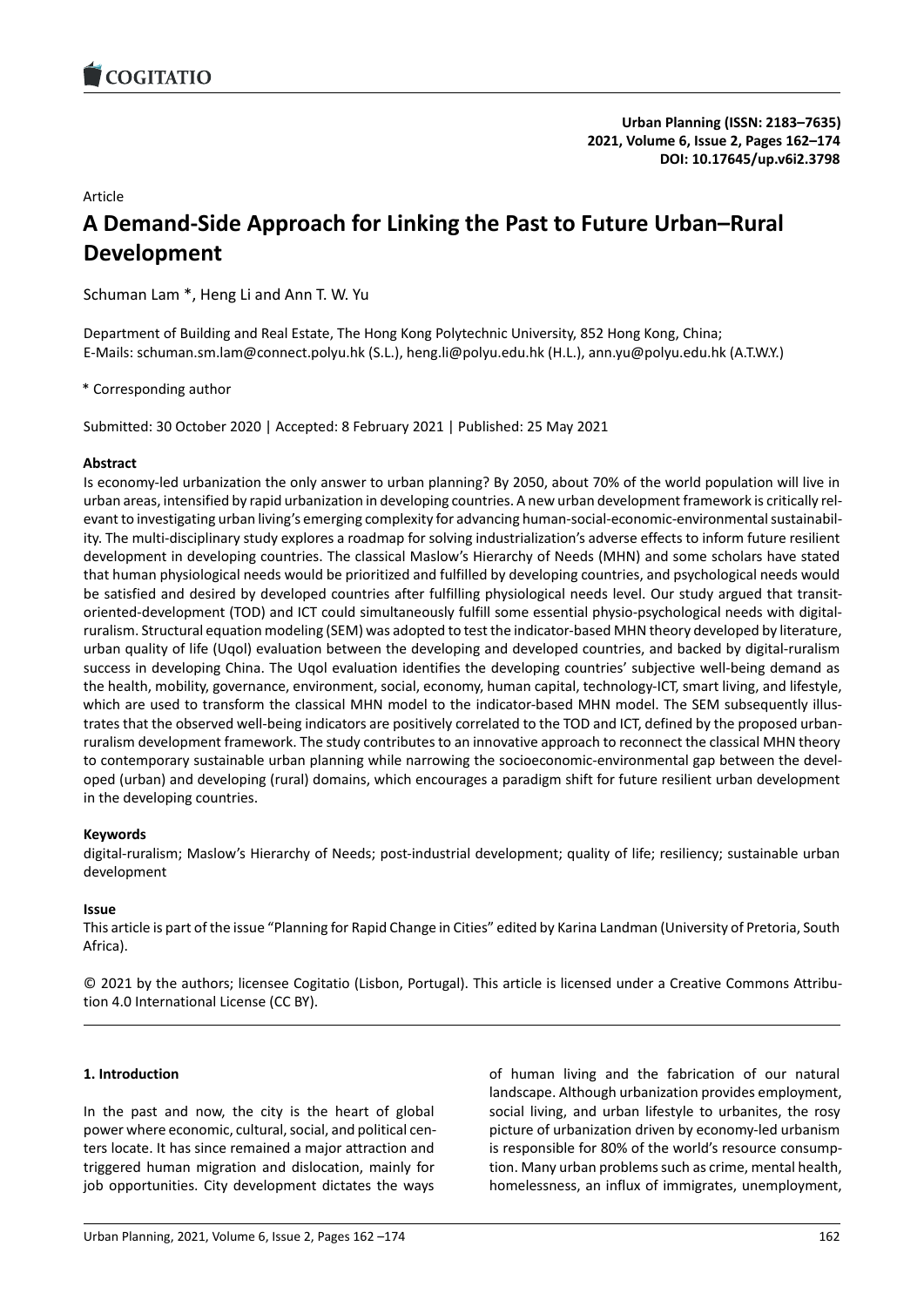# Article **A Demand-Side Approach for Linking the Past to Future Ur[ban–Rural](https://doi.org/10.17645/up.v6i2.3798) Development**

Schuman Lam \*, Heng Li and Ann T. W. Yu

Department of Building and Real Estate, The Hong Kong Polytechnic University, 852 Hong Kong, China; E-Mails: schuman.sm.lam@connect.polyu.hk (S.L.), heng.li@polyu.edu.hk (H.L.), ann.yu@polyu.edu.hk (A.T.W.Y.)

\* Corresponding author

Submitted: 30 October 2020 | Accepted: 8 February 2021 | Published: 25 May 2021

# **Abstract**

Is economy-led urbanization the only answer to urban planning? By 2050, about 70% of the world population will live in urban areas, intensified by rapid urbanization in developing countries. A new urban development framework is critically relevant to investigating urban living's emerging complexity for advancing human-social-economic-environmental sustainability. The multi-disciplinary study explores a roadmap for solving industrialization's adverse effects to inform future resilient development in developing countries. The classical Maslow's Hierarchy of Needs (MHN) and some scholars have stated that human physiological needs would be prioritized and fulfilled by developing countries, and psychological needs would be satisfied and desired by developed countries after fulfilling physiological needs level. Our study argued that transitoriented-development (TOD) and ICT could simultaneously fulfill some essential physio-psychological needs with digitalruralism. Structural equation modeling (SEM) was adopted to test the indicator-based MHN theory developed by literature, urban quality of life (Uqol) evaluation between the developing and developed countries, and backed by digital-ruralism success in developing China. The Uqol evaluation identifies the developing countries' subjective well-being demand as the health, mobility, governance, environment, social, economy, human capital, technology-ICT, smart living, and lifestyle, which are used to transform the classical MHN model to the indicator-based MHN model. The SEM subsequently illustrates that the observed well-being indicators are positively correlated to the TOD and ICT, defined by the proposed urbanruralism development framework. The study contributes to an innovative approach to reconnect the classical MHN theory to contemporary sustainable urban planning while narrowing the socioeconomic-environmental gap between the developed (urban) and developing (rural) domains, which encourages a paradigm shift for future resilient urban development in the developing countries.

# **Keywords**

digital-ruralism; Maslow's Hierarchy of Needs; post-industrial development; quality of life; resiliency; sustainable urban development

# **Issue**

This article is part of the issue "Planning for Rapid Change in Cities" edited by Karina Landman (University of Pretoria, South Africa).

© 2021 by the authors; licensee Cogitatio (Lisbon, Portugal). This article is licensed under a Creative Commons Attribution 4.0 International License (CC BY).

# **1. Introduction**

In the past and now, the city is the heart of global power where economic, cultural, social, and political centers locate. It has since remained a major attraction and triggered human migration and dislocation, mainly for job opportunities. City development dictates the ways

of human living and the fabrication of our natural landscape. Although urbanization provides employment, social living, and urban lifestyle to urbanites, the rosy picture of urbanization driven by economy-led urbanism is responsible for 80% of the world's resource consumption. Many urban problems such as crime, mental health, homelessness, an influx of immigrates, unemployment,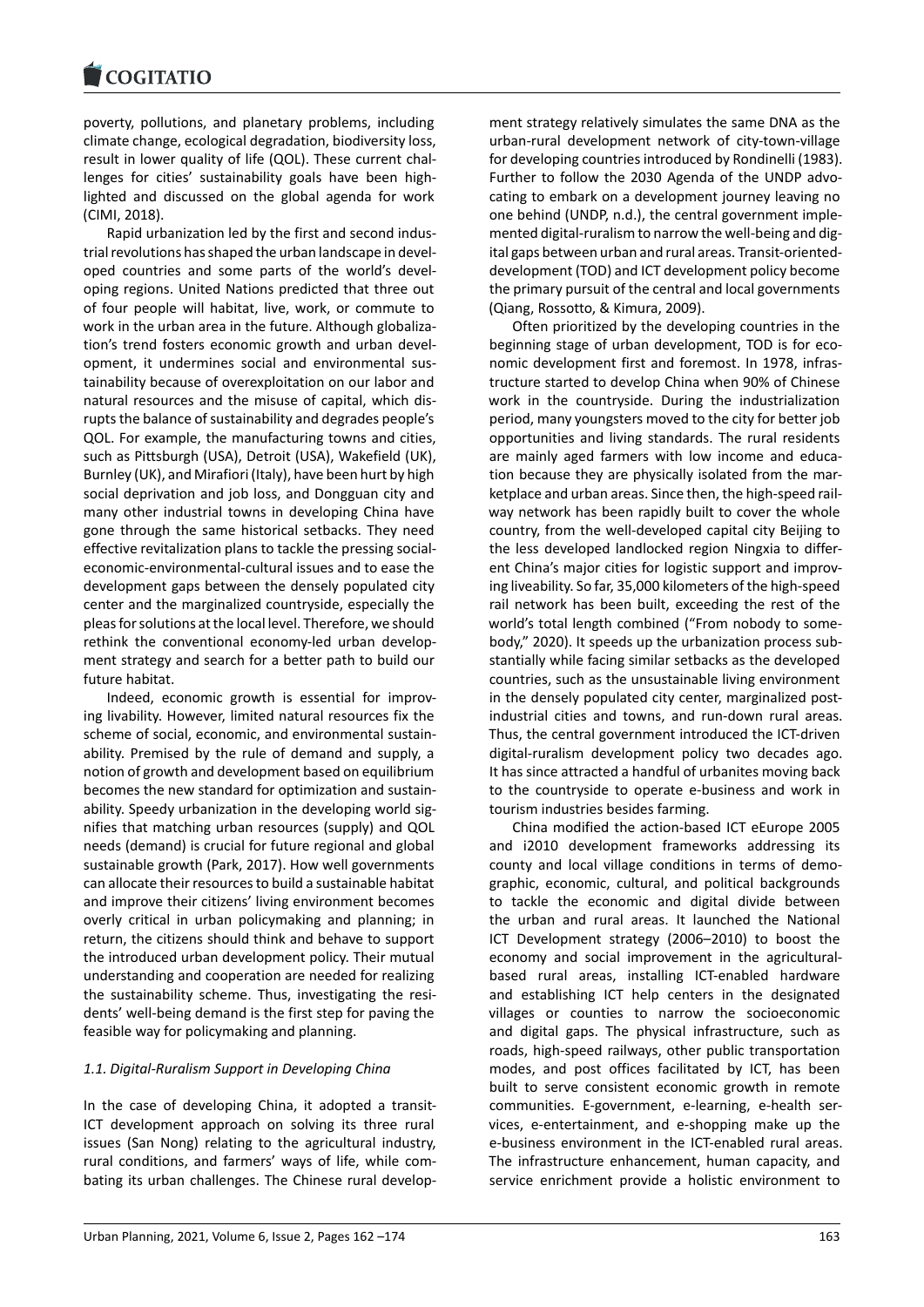#### **LOGITATIO**

poverty, pollutions, and planetary problems, including [climate change, ecolo](https://www.cogitatiopress.com)gical degradation, biodiversity loss, result in lower quality of life (QOL). These current challenges for cities' sustainability goals have been highlighted and discussed on the global agenda for work (CIMI, 2018).

Rapid urbanization led by the first and second industrial revolutions has shaped the urban landscape in developed countries and some parts of the world's developing regions. United Nations predicted that three out of four people will habitat, live, work, or commute to work in the urban area in the future. Although globalization's trend fosters economic growth and urban development, it undermines social and environmental sustainability because of overexploitation on our labor and natural resources and the misuse of capital, which disrupts the balance of sustainability and degrades people's QOL. For example, the manufacturing towns and cities, such as Pittsburgh (USA), Detroit (USA), Wakefield (UK), Burnley (UK), and Mirafiori (Italy), have been hurt by high social deprivation and job loss, and Dongguan city and many other industrial towns in developing China have gone through the same historical setbacks. They need effective revitalization plans to tackle the pressing socialeconomic-environmental-cultural issues and to ease the development gaps between the densely populated city center and the marginalized countryside, especially the pleas for solutions at the local level. Therefore, we should rethink the conventional economy-led urban development strategy and search for a better path to build our future habitat.

Indeed, economic growth is essential for improving livability. However, limited natural resources fix the scheme of social, economic, and environmental sustainability. Premised by the rule of demand and supply, a notion of growth and development based on equilibrium becomes the new standard for optimization and sustainability. Speedy urbanization in the developing world signifies that matching urban resources (supply) and QOL needs (demand) is crucial for future regional and global sustainable growth (Park, 2017). How well governments can allocate their resources to build a sustainable habitat and improve their citizens' living environment becomes overly critical in urban policymaking and planning; in return, the citizens should think and behave to support the introduced urban development policy. Their mutual understanding and cooperation are needed for realizing the sustainability scheme. Thus, investigating the residents' well-being demand is the first step for paving the feasible way for policymaking and planning.

# *1.1. Digital-Ruralism Support in Developing China*

In the case of developing China, it adopted a transit-ICT development approach on solving its three rural issues (San Nong) relating to the agricultural industry, rural conditions, and farmers' ways of life, while combating its urban challenges. The Chinese rural develop-

ment strategy relatively simulates the same DNA as the urban-rural development network of city-town-village for developing countries introduced by Rondinelli (1983). Further to follow the 2030 Agenda of the UNDP advocating to embark on a development journey leaving no one behind (UNDP, n.d.), the central government implemented digital-ruralism to narrow the well-being and digital gaps between urban and rural areas. Transit-orienteddevelopment (TOD) and ICT development policy become the primary pursuit of the central and local governments (Qiang, Rossotto, & Kimura, 2009).

Often prioritized by the developing countries in the beginning stage of urban development, TOD is for economic development first and foremost. In 1978, infrastructure started to develop China when 90% of Chinese work in the countryside. During the industrialization period, many youngsters moved to the city for better job opportunities and living standards. The rural residents are mainly aged farmers with low income and education because they are physically isolated from the marketplace and urban areas. Since then, the high-speed railway network has been rapidly built to cover the whole country, from the well-developed capital city Beijing to the less developed landlocked region Ningxia to different China's major cities for logistic support and improving liveability. So far, 35,000 kilometers of the high-speed rail network has been built, exceeding the rest of the world's total length combined ("From nobody to somebody," 2020). It speeds up the urbanization process substantially while facing similar setbacks as the developed countries, such as the unsustainable living environment in the densely populated city center, marginalized postindustrial cities and towns, and run-down rural areas. Thus, the central government introduced the ICT-driven digital-ruralism development policy two decades ago. It has since attracted a handful of urbanites moving back to the countryside to operate e-business and work in tourism industries besides farming.

China modified the action-based ICT eEurope 2005 and i2010 development frameworks addressing its county and local village conditions in terms of demographic, economic, cultural, and political backgrounds to tackle the economic and digital divide between the urban and rural areas. It launched the National ICT Development strategy (2006–2010) to boost the economy and social improvement in the agriculturalbased rural areas, installing ICT-enabled hardware and establishing ICT help centers in the designated villages or counties to narrow the socioeconomic and digital gaps. The physical infrastructure, such as roads, high-speed railways, other public transportation modes, and post offices facilitated by ICT, has been built to serve consistent economic growth in remote communities. E-government, e-learning, e-health services, e-entertainment, and e-shopping make up the e-business environment in the ICT-enabled rural areas. The infrastructure enhancement, human capacity, and service enrichment provide a holistic environment to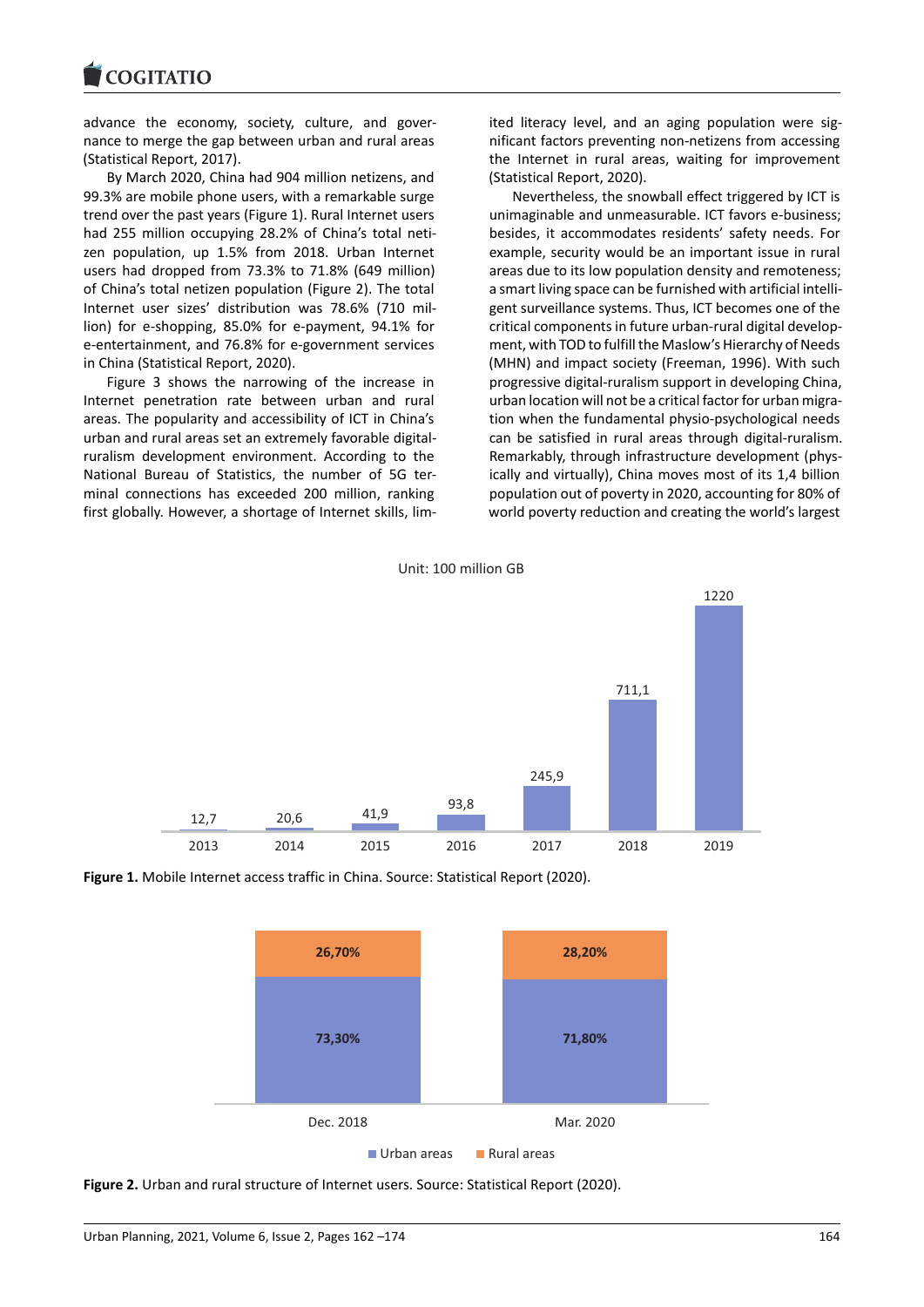#### COQUIATIO

advance the economy, society, culture, and gover[nance to merge the](https://www.cogitatiopress.com) gap between urban and rural areas (Statistical Report, 2017).

By March 2020, China had 904 million netizens, and 99.3% are mobile phone users, with a remarkable surge trend over the past years (Figure 1). Rural Internet users had 255 million occupying 28.2% of China's total netizen population, up 1.5% from 2018. Urban Internet users had dropped from 73.3% to 71.8% (649 million) of China's total netizen population (Figure 2). The total Internet user sizes' distribution was 78.6% (710 million) for e-shopping, 85.0% for e-payment, 94.1% for e-entertainment, and 76.8% for e-government services in China (Statistical Report, 2020).

Figure 3 shows the narrowing of the increase in Internet penetration rate between urban and rural areas. The popularity and accessibility of ICT in China's urban and rural areas set an extremely favorable digitalruralism development environment. According to the National Bureau of Statistics, the number of 5G terminal connections has exceeded 200 million, ranking first globally. However, a shortage of Internet skills, limited literacy level, and an aging population were significant factors preventing non-netizens from accessing the Internet in rural areas, waiting for improvement (Statistical Report, 2020).

Nevertheless, the snowball effect triggered by ICT is unimaginable and unmeasurable. ICT favors e-business; besides, it accommodates residents' safety needs. For example, security would be an important issue in rural areas due to its low population density and remoteness; a smart living space can be furnished with artificial intelligent surveillance systems. Thus, ICT becomes one of the critical components in future urban-rural digital development, with TOD to fulfill the Maslow's Hierarchy of Needs (MHN) and impact society (Freeman, 1996). With such progressive digital-ruralism support in developing China, urban location will not be a critical factor for urban migration when the fundamental physio-psychological needs can be satisfied in rural areas through digital-ruralism. Remarkably, through infrastructure development (physically and virtually), China moves most of its 1,4 billion population out of poverty in 2020, accounting for 80% of world poverty reduction and creating the world's largest







**Figure 2.** Urban and rural structure of Internet users. Source: Statistical Report (2020).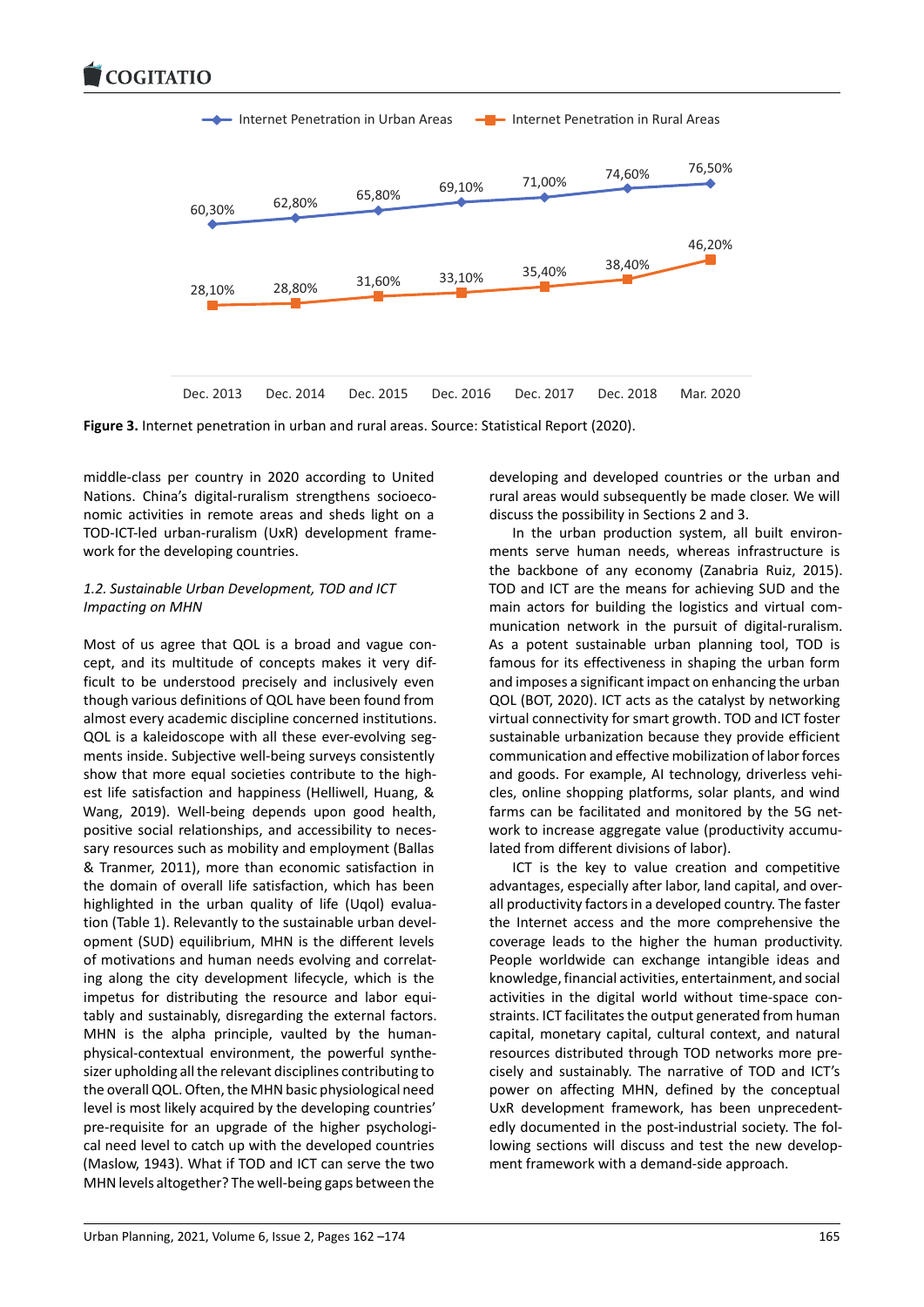

**Figure 3.** Internet penetration in urban and rural areas. Source: Statistical Report (2020).

middle-class per country in 2020 according to United Nations. China's digital-ruralism strengthens socioeconomic activities in remote areas and sheds light on a TOD-ICT-led urban-ruralism (UxR) development framework for the developing countries.

# *1.2. Sustainable Urban Development, TOD and ICT Impacting on MHN*

Most of us agree that QOL is a broad and vague concept, and its multitude of concepts makes it very difficult to be understood precisely and inclusively even though various definitions of QOL have been found from almost every academic discipline concerned institutions. QOL is a kaleidoscope with all these ever-evolving segments inside. Subjective well-being surveys consistently show that more equal societies contribute to the highest life satisfaction and happiness (Helliwell, Huang, & Wang, 2019). Well-being depends upon good health, positive social relationships, and accessibility to necessary resources such as mobility and employment (Ballas & Tranmer, 2011), more than economic satisfaction in the domain of overall life satisfaction, which has been highlighted in the urban quality of life (Uqol) evaluation (Table 1). Relevantly to the sustainable urban development (SUD) equilibrium, MHN is the different levels of motivations and human needs evolving and correlating along the city development lifecycle, which is the impetus for distributing the resource and labor equitably and sustainably, disregarding the external factors. MHN is the alpha principle, vaulted by the humanphysical-contextual environment, the powerful synthesizer upholding all the relevant disciplines contributing to the overall QOL. Often, the MHN basic physiological need level is most likely acquired by the developing countries' pre-requisite for an upgrade of the higher psychological need level to catch up with the developed countries (Maslow, 1943). What if TOD and ICT can serve the two MHN levels altogether? The well-being gaps between the

developing and developed countries or the urban and rural areas would subsequently be made closer. We will discuss the possibility in Sections 2 and 3.

In the urban production system, all built environments serve human needs, whereas infrastructure is the backbone of any economy (Zanabria Ruiz, 2015). TOD and ICT are the means for achieving SUD and the main actors for building the logistics and virtual communication network in the pursuit of digital-ruralism. As a potent sustainable urban planning tool, TOD is famous for its effectiveness in shaping the urban form and imposes a significant impact on enhancing the urban QOL (BOT, 2020). ICT acts as the catalyst by networking virtual connectivity for smart growth. TOD and ICT foster sustainable urbanization because they provide efficient communication and effective mobilization of labor forces and goods. For example, AI technology, driverless vehicles, online shopping platforms, solar plants, and wind farms can be facilitated and monitored by the 5G network to increase aggregate value (productivity accumulated from different divisions of labor).

ICT is the key to value creation and competitive advantages, especially after labor, land capital, and overall productivity factors in a developed country. The faster the Internet access and the more comprehensive the coverage leads to the higher the human productivity. People worldwide can exchange intangible ideas and knowledge, financial activities, entertainment, and social activities in the digital world without time-space constraints. ICT facilitates the output generated from human capital, monetary capital, cultural context, and natural resources distributed through TOD networks more precisely and sustainably. The narrative of TOD and ICT's power on affecting MHN, defined by the conceptual UxR development framework, has been unprecedentedly documented in the post-industrial society. The following sections will discuss and test the new development framework with a demand-side approach.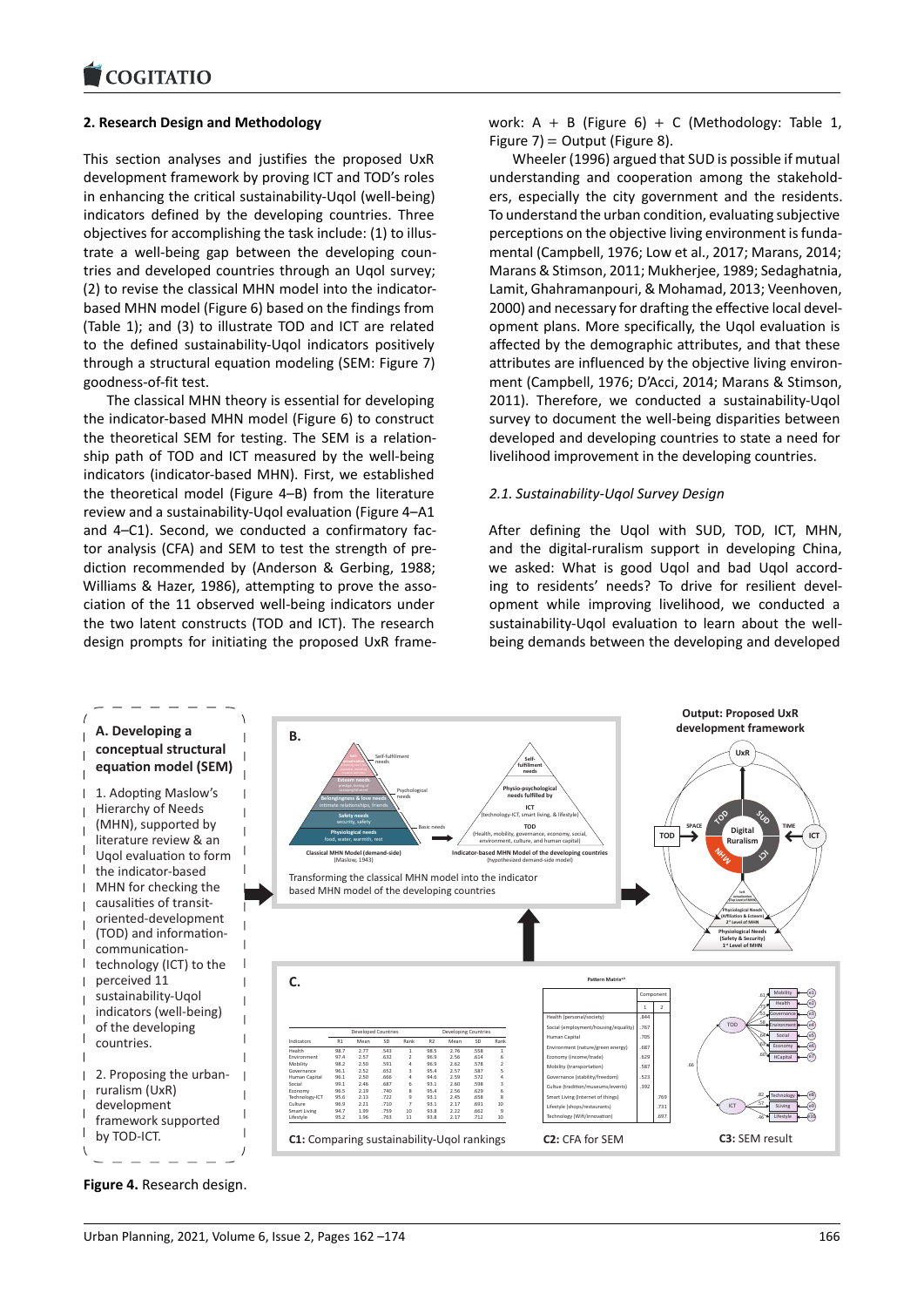#### COMITATIO

### **2. Research Design and Methodology**

[This section analyse](https://www.cogitatiopress.com)s and justifies the proposed UxR development framework by proving ICT and TOD's roles in enhancing the critical sustainability-Uqol (well-being) indicators defined by the developing countries. Three objectives for accomplishing the task include: (1) to illustrate a well-being gap between the developing countries and developed countries through an Uqol survey; (2) to revise the classical MHN model into the indicatorbased MHN model (Figure 6) based on the findings from (Table 1); and (3) to illustrate TOD and ICT are related to the defined sustainability-Uqol indicators positively through a structural equation modeling (SEM: Figure 7) goodness-of-fit test.

The classical MHN theory is essential for developing the indicator-based MHN model (Figure 6) to construct the theoretical SEM for testing. The SEM is a relationship path of TOD and ICT measured by the well-being indicators (indicator-based MHN). First, we established the theoretical model (Figure 4–B) from the literature review and a sustainability-Uqol evaluation (Figure 4–A1 and 4–C1). Second, we conducted a confirmatory factor analysis (CFA) and SEM to test the strength of prediction recommended by (Anderson & Gerbing, 1988; Williams & Hazer, 1986), attempting to prove the association of the 11 observed well-being indicators under the two latent constructs (TOD and ICT). The research design prompts for initiating the proposed UxR framework:  $A + B$  (Figure 6) + C (Methodology: Table 1, Figure 7) = Output (Figure 8).

Wheeler (1996) argued that SUD is possible if mutual understanding and cooperation among the stakeholders, especially the city government and the residents. To understand the urban condition, evaluating subjective perceptions on the objective living environment is fundamental (Campbell, 1976; Low et al., 2017; Marans, 2014; Marans & Stimson, 2011; Mukherjee, 1989; Sedaghatnia, Lamit, Ghahramanpouri, & Mohamad, 2013; Veenhoven, 2000) and necessary for drafting the effective local development plans. More specifically, the Uqol evaluation is affected by the demographic attributes, and that these attributes are influenced by the objective living environment (Campbell, 1976; D'Acci, 2014; Marans & Stimson, 2011). Therefore, we conducted a sustainability-Uqol survey to document the well-being disparities between developed and developing countries to state a need for livelihood improvement in the developing countries.

### *2.1. Sustainability-Uqol Survey Design*

After defining the Uqol with SUD, TOD, ICT, MHN, and the digital-ruralism support in developing China, we asked: What is good Uqol and bad Uqol according to residents' needs? To drive for resilient development while improving livelihood, we conducted a sustainability-Uqol evaluation to learn about the wellbeing demands between the developing and developed



**Figure 4.** Research design.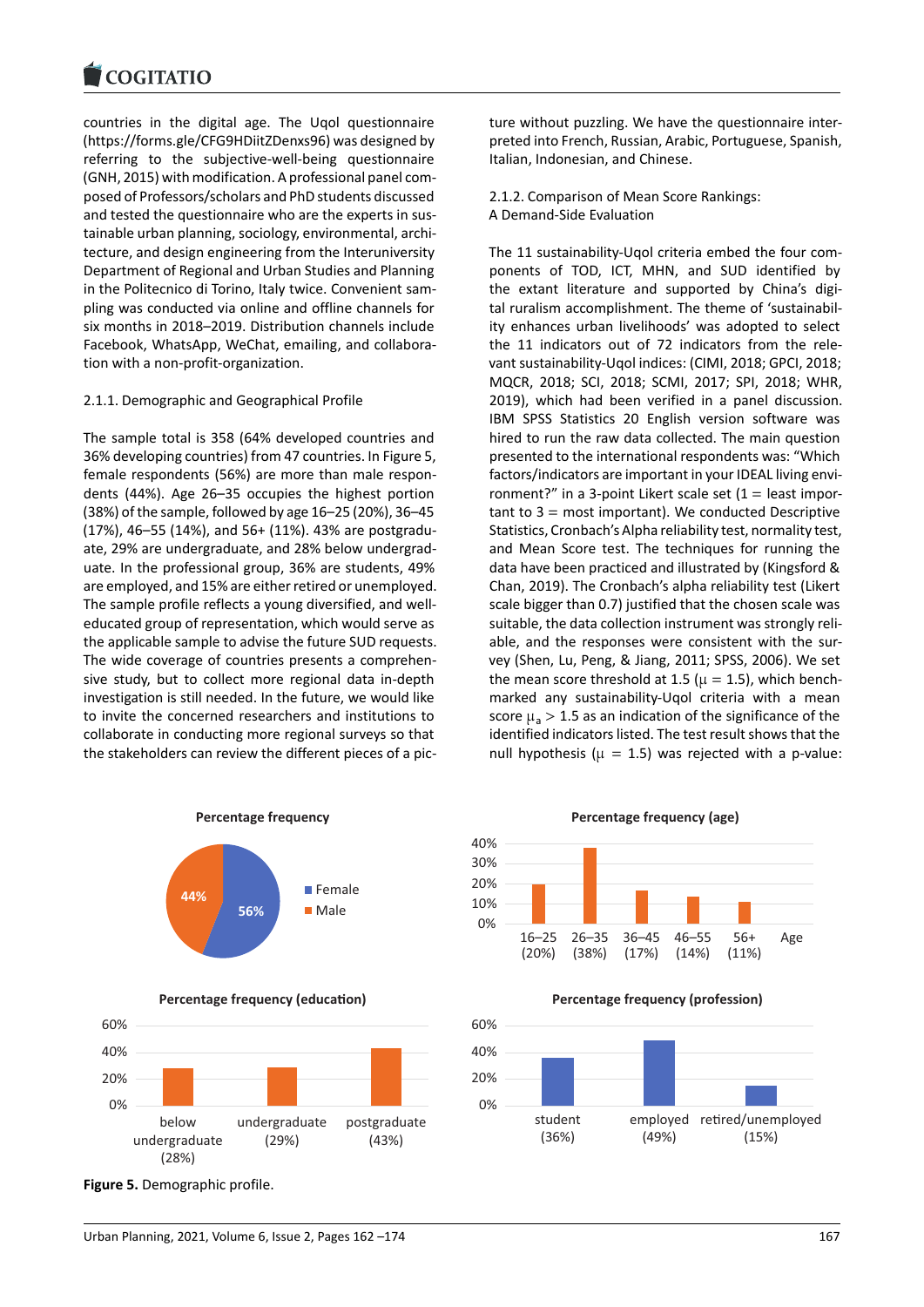#### COGHALIO

countries in the digital age. The Uqol questionnaire [\(https://forms.gle/CF](https://www.cogitatiopress.com)G9HDiitZDenxs96) was designed by referring to the subjective-well-being questionnaire (GNH, 2015) with modification. A professional panel composed of Professors/scholars and PhD students discussed [and tested the questionnaire who are t](https://forms.gle/CFG9HDiitZDenxs96)he experts in sustainable urban planning, sociology, environmental, architecture, and design engineering from the Interuniversity Department of Regional and Urban Studies and Planning in the Politecnico di Torino, Italy twice. Convenient sampling was conducted via online and offline channels for six months in 2018–2019. Distribution channels include Facebook, WhatsApp, WeChat, emailing, and collaboration with a non-profit-organization.

### 2.1.1. Demographic and Geographical Profile

The sample total is 358 (64% developed countries and 36% developing countries) from 47 countries. In Figure 5, female respondents (56%) are more than male respondents (44%). Age 26–35 occupies the highest portion (38%) of the sample, followed by age 16–25 (20%), 36–45 (17%), 46–55 (14%), and 56+ (11%). 43% are postgraduate, 29% are undergraduate, and 28% below undergraduate. In the professional group, 36% are students, 49% are employed, and 15% are either retired or unemployed. The sample profile reflects a young diversified, and welleducated group of representation, which would serve as the applicable sample to advise the future SUD requests. The wide coverage of countries presents a comprehensive study, but to collect more regional data in-depth investigation is still needed. In the future, we would like to invite the concerned researchers and institutions to collaborate in conducting more regional surveys so that the stakeholders can review the different pieces of a pic-



**Percentage frequency (education)**



**Figure 5.** Demographic profile.

ture without puzzling. We have the questionnaire interpreted into French, Russian, Arabic, Portuguese, Spanish, Italian, Indonesian, and Chinese.

2.1.2. Comparison of Mean Score Rankings: A Demand-Side Evaluation

The 11 sustainability-Uqol criteria embed the four components of TOD, ICT, MHN, and SUD identified by the extant literature and supported by China's digital ruralism accomplishment. The theme of 'sustainability enhances urban livelihoods' was adopted to select the 11 indicators out of 72 indicators from the relevant sustainability-Uqol indices: (CIMI, 2018; GPCI, 2018; MQCR, 2018; SCI, 2018; SCMI, 2017; SPI, 2018; WHR, 2019), which had been verified in a panel discussion. IBM SPSS Statistics 20 English version software was hired to run the raw data collected. The main question presented to the international respondents was: "Which factors/indicators are important in your IDEAL living environment?" in a 3-point Likert scale set  $(1 =$  least important to  $3 =$  most important). We conducted Descriptive Statistics, Cronbach's Alpha reliability test, normality test, and Mean Score test. The techniques for running the data have been practiced and illustrated by (Kingsford & Chan, 2019). The Cronbach's alpha reliability test (Likert scale bigger than 0.7) justified that the chosen scale was suitable, the data collection instrument was strongly reliable, and the responses were consistent with the survey (Shen, Lu, Peng, & Jiang, 2011; SPSS, 2006). We set the mean score threshold at 1.5 ( $\mu$  = 1.5), which benchmarked any sustainability-Uqol criteria with a mean score  $\mu$ <sub>a</sub> > 1.5 as an indication of the significance of the identified indicators listed. The test result shows that the null hypothesis ( $\mu = 1.5$ ) was rejected with a p-value:





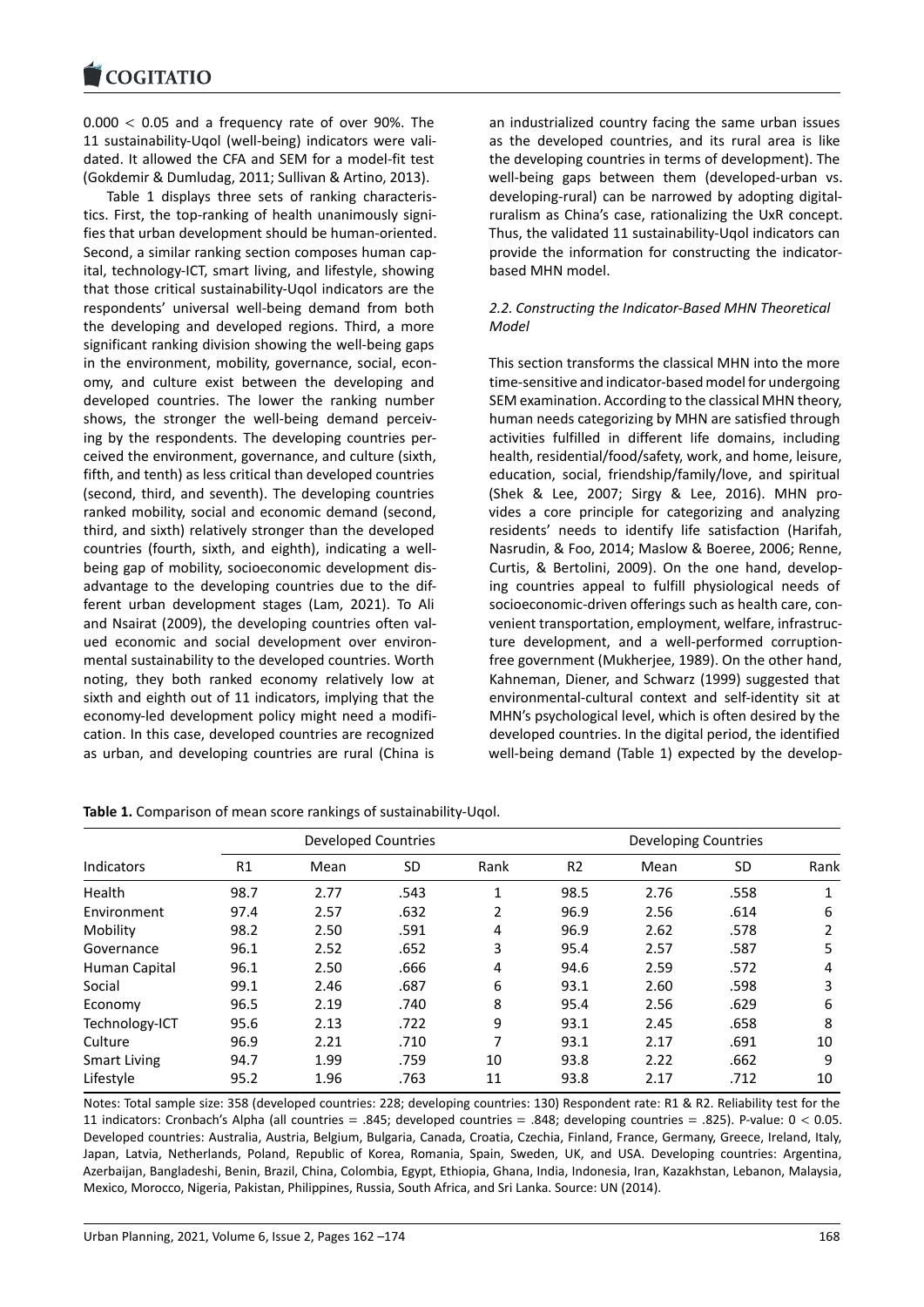$0.000 < 0.05$  and a frequency rate of over 90%. The [11 sustainability-Uqo](https://www.cogitatiopress.com)l (well-being) indicators were validated. It allowed the CFA and SEM for a model-fit test (Gokdemir & Dumludag, 2011; Sullivan & Artino, 2013).

Table 1 displays three sets of ranking characteristics. First, the top-ranking of health unanimously signifies that urban development should be human-oriented. Second, a similar ranking section composes human capital, technology-ICT, smart living, and lifestyle, showing that those critical sustainability-Uqol indicators are the respondents' universal well-being demand from both the developing and developed regions. Third, a more significant ranking division showing the well-being gaps in the environment, mobility, governance, social, economy, and culture exist between the developing and developed countries. The lower the ranking number shows, the stronger the well-being demand perceiving by the respondents. The developing countries perceived the environment, governance, and culture (sixth, fifth, and tenth) as less critical than developed countries (second, third, and seventh). The developing countries ranked mobility, social and economic demand (second, third, and sixth) relatively stronger than the developed countries (fourth, sixth, and eighth), indicating a wellbeing gap of mobility, socioeconomic development disadvantage to the developing countries due to the different urban development stages (Lam, 2021). To Ali and Nsairat (2009), the developing countries often valued economic and social development over environmental sustainability to the developed countries. Worth noting, they both ranked economy relatively low at sixth and eighth out of 11 indicators, implying that the economy-led development policy might need a modification. In this case, developed countries are recognized as urban, and developing countries are rural (China is

an industrialized country facing the same urban issues as the developed countries, and its rural area is like the developing countries in terms of development). The well-being gaps between them (developed-urban vs. developing-rural) can be narrowed by adopting digitalruralism as China's case, rationalizing the UxR concept. Thus, the validated 11 sustainability-Uqol indicators can provide the information for constructing the indicatorbased MHN model.

# *2.2. Constructing the Indicator-Based MHN Theoretical Model*

This section transforms the classical MHN into the more time-sensitive and indicator-based model for undergoing SEM examination. According to the classical MHN theory, human needs categorizing by MHN are satisfied through activities fulfilled in different life domains, including health, residential/food/safety, work, and home, leisure, education, social, friendship/family/love, and spiritual (Shek & Lee, 2007; Sirgy & Lee, 2016). MHN provides a core principle for categorizing and analyzing residents' needs to identify life satisfaction (Harifah, Nasrudin, & Foo, 2014; Maslow & Boeree, 2006; Renne, Curtis, & Bertolini, 2009). On the one hand, developing countries appeal to fulfill physiological needs of socioeconomic-driven offerings such as health care, convenient transportation, employment, welfare, infrastructure development, and a well-performed corruptionfree government (Mukherjee, 1989). On the other hand, Kahneman, Diener, and Schwarz (1999) suggested that environmental-cultural context and self-identity sit at MHN's psychological level, which is often desired by the developed countries. In the digital period, the identified well-being demand (Table 1) expected by the develop-

| <b>Indicators</b>   | <b>Developed Countries</b> |      |           |      | <b>Developing Countries</b> |      |           |      |
|---------------------|----------------------------|------|-----------|------|-----------------------------|------|-----------|------|
|                     | R1                         | Mean | <b>SD</b> | Rank | R <sub>2</sub>              | Mean | <b>SD</b> | Rank |
| Health              | 98.7                       | 2.77 | .543      | 1    | 98.5                        | 2.76 | .558      | 1    |
| Environment         | 97.4                       | 2.57 | .632      | 2    | 96.9                        | 2.56 | .614      | 6    |
| Mobility            | 98.2                       | 2.50 | .591      | 4    | 96.9                        | 2.62 | .578      | 2    |
| Governance          | 96.1                       | 2.52 | .652      | 3    | 95.4                        | 2.57 | .587      | 5    |
| Human Capital       | 96.1                       | 2.50 | .666      | 4    | 94.6                        | 2.59 | .572      | 4    |
| Social              | 99.1                       | 2.46 | .687      | 6    | 93.1                        | 2.60 | .598      | 3    |
| Economy             | 96.5                       | 2.19 | .740      | 8    | 95.4                        | 2.56 | .629      | 6    |
| Technology-ICT      | 95.6                       | 2.13 | .722      | 9    | 93.1                        | 2.45 | .658      | 8    |
| Culture             | 96.9                       | 2.21 | .710      |      | 93.1                        | 2.17 | .691      | 10   |
| <b>Smart Living</b> | 94.7                       | 1.99 | .759      | 10   | 93.8                        | 2.22 | .662      | 9    |
| Lifestyle           | 95.2                       | 1.96 | .763      | 11   | 93.8                        | 2.17 | .712      | 10   |

**Table 1.** Comparison of mean score rankings of sustainability-Uqol.

Notes: Total sample size: 358 (developed countries: 228; developing countries: 130) Respondent rate: R1 & R2. Reliability test for the 11 indicators: Cronbach's Alpha (all countries = .845; developed countries = .848; developing countries = .825). P-value: 0 < 0.05. Developed countries: Australia, Austria, Belgium, Bulgaria, Canada, Croatia, Czechia, Finland, France, Germany, Greece, Ireland, Italy, Japan, Latvia, Netherlands, Poland, Republic of Korea, Romania, Spain, Sweden, UK, and USA. Developing countries: Argentina, Azerbaijan, Bangladeshi, Benin, Brazil, China, Colombia, Egypt, Ethiopia, Ghana, India, Indonesia, Iran, Kazakhstan, Lebanon, Malaysia, Mexico, Morocco, Nigeria, Pakistan, Philippines, Russia, South Africa, and Sri Lanka. Source: UN (2014).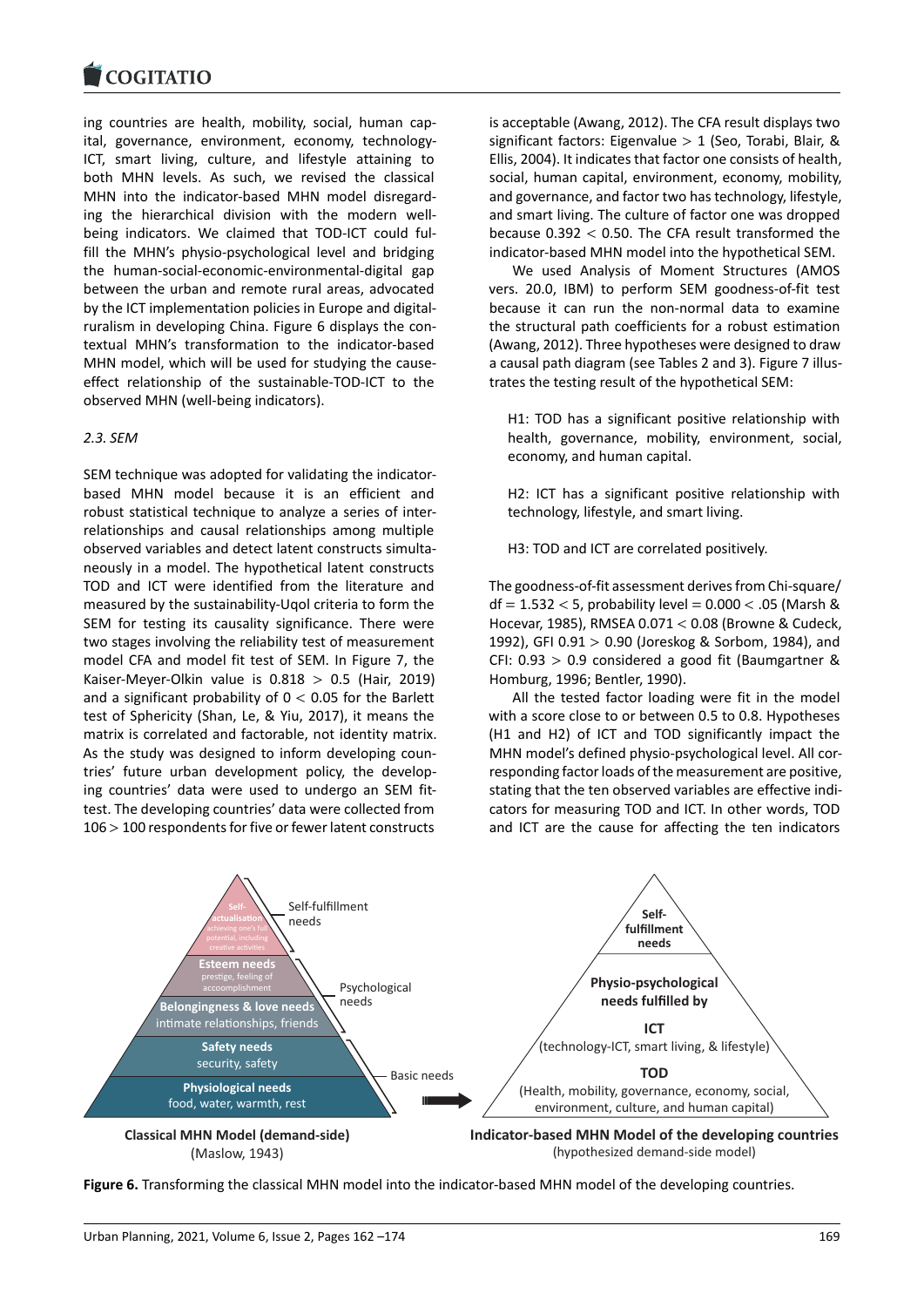#### COGHALIO

ing countries are health, mobility, social, human cap[ital, governance, en](https://www.cogitatiopress.com)vironment, economy, technology-ICT, smart living, culture, and lifestyle attaining to both MHN levels. As such, we revised the classical MHN into the indicator-based MHN model disregarding the hierarchical division with the modern wellbeing indicators. We claimed that TOD-ICT could fulfill the MHN's physio-psychological level and bridging the human-social-economic-environmental-digital gap between the urban and remote rural areas, advocated by the ICT implementation policies in Europe and digitalruralism in developing China. Figure 6 displays the contextual MHN's transformation to the indicator-based MHN model, which will be used for studying the causeeffect relationship of the sustainable-TOD-ICT to the observed MHN (well-being indicators).

### *2.3. SEM*

SEM technique was adopted for validating the indicatorbased MHN model because it is an efficient and robust statistical technique to analyze a series of interrelationships and causal relationships among multiple observed variables and detect latent constructs simultaneously in a model. The hypothetical latent constructs TOD and ICT were identified from the literature and measured by the sustainability-Uqol criteria to form the SEM for testing its causality significance. There were two stages involving the reliability test of measurement model CFA and model fit test of SEM. In Figure 7, the Kaiser-Meyer-Olkin value is  $0.818 > 0.5$  (Hair, 2019) and a significant probability of  $0 < 0.05$  for the Barlett test of Sphericity (Shan, Le, & Yiu, 2017), it means the matrix is correlated and factorable, not identity matrix. As the study was designed to inform developing countries' future urban development policy, the developing countries' data were used to undergo an SEM fittest. The developing countries' data were collected from 106 > 100 respondents for five or fewer latent constructs

is acceptable (Awang, 2012). The CFA result displays two significant factors: Eigenvalue  $> 1$  (Seo, Torabi, Blair, & Ellis, 2004). It indicates that factor one consists of health, social, human capital, environment, economy, mobility, and governance, and factor two has technology, lifestyle, and smart living. The culture of factor one was dropped because 0.392 < 0.50. The CFA result transformed the indicator-based MHN model into the hypothetical SEM.

We used Analysis of Moment Structures (AMOS vers. 20.0, IBM) to perform SEM goodness-of-fit test because it can run the non-normal data to examine the structural path coefficients for a robust estimation (Awang, 2012). Three hypotheses were designed to draw a causal path diagram (see Tables 2 and 3). Figure 7 illustrates the testing result of the hypothetical SEM:

H1: TOD has a significant positive relationship with health, governance, mobility, environment, social, economy, and human capital.

H2: ICT has a significant positive relationship with technology, lifestyle, and smart living.

H3: TOD and ICT are correlated positively.

The goodness-of-fit assessment derives from Chi-square/  $df = 1.532 < 5$ , probability level = 0.000  $<$  .05 (Marsh & Hocevar, 1985), RMSEA 0.071 < 0.08 (Browne & Cudeck, 1992), GFI 0.91 > 0.90 (Joreskog & Sorbom, 1984), and CFI:  $0.93 > 0.9$  considered a good fit (Baumgartner & Homburg, 1996; Bentler, 1990).

All the tested factor loading were fit in the model with a score close to or between 0.5 to 0.8. Hypotheses (H1 and H2) of ICT and TOD significantly impact the MHN model's defined physio-psychological level. All corresponding factor loads of the measurement are positive, stating that the ten observed variables are effective indicators for measuring TOD and ICT. In other words, TOD and ICT are the cause for affecting the ten indicators



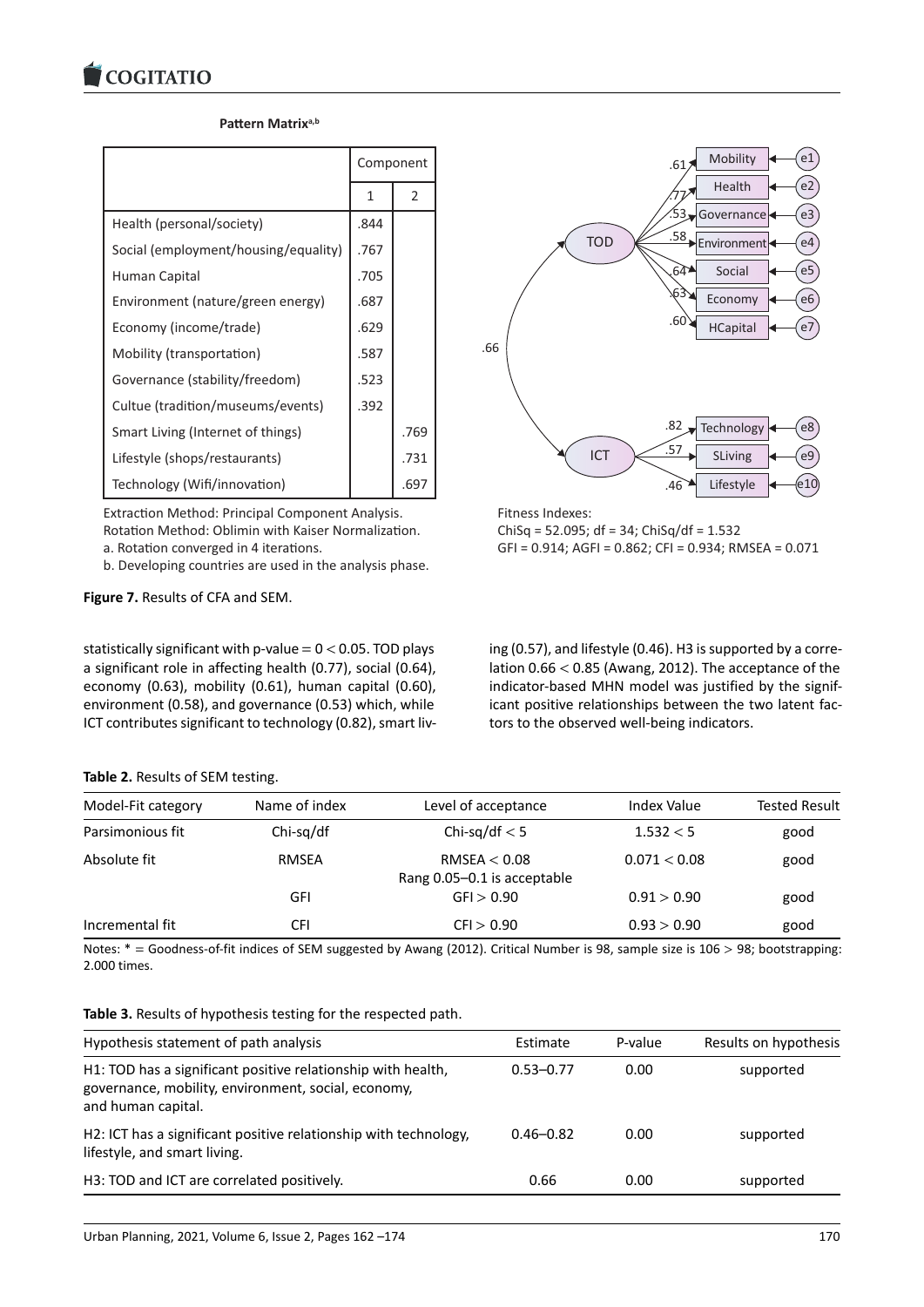### Pattern Matrix<sup>a,b</sup>

|                                      | Component |      |
|--------------------------------------|-----------|------|
|                                      | 1         | 2    |
| Health (personal/society)            | .844      |      |
| Social (employment/housing/equality) | .767      |      |
| Human Capital                        | .705      |      |
| Environment (nature/green energy)    | .687      |      |
| Economy (income/trade)               | .629      |      |
| Mobility (transportation)            | .587      |      |
| Governance (stability/freedom)       | .523      |      |
| Cultue (tradition/museums/events)    | .392      |      |
| Smart Living (Internet of things)    |           | .769 |
| Lifestyle (shops/restaurants)        |           | .731 |
| Technology (Wifi/innovation)         |           | .697 |

Extraction Method: Principal Component Analysis. Rotation Method: Oblimin with Kaiser Normalization. a. Rotation converged in 4 iterations.

b. Developing countries are used in the analysis phase.

**Figure 7.** Results of CFA and SEM.

statistically significant with p-value  $= 0 < 0.05$ . TOD plays a significant role in affecting health (0.77), social (0.64), economy (0.63), mobility (0.61), human capital (0.60), environment (0.58), and governance (0.53) which, while ICT contributes significant to technology (0.82), smart liv-



Fitness Indexes: ChiSq = 52.095; df = 34; ChiSq/df = 1.532 GFI = 0.914; AGFI = 0.862; CFI = 0.934; RMSEA = 0.071

ing (0.57), and lifestyle (0.46). H3 is supported by a correlation 0.66 < 0.85 (Awang, 2012). The acceptance of the indicator-based MHN model was justified by the significant positive relationships between the two latent factors to the observed well-being indicators.

### **Table 2.** Results of SEM testing.

| Model-Fit category | Name of index | Level of acceptance                           | <b>Index Value</b> | <b>Tested Result</b> |
|--------------------|---------------|-----------------------------------------------|--------------------|----------------------|
| Parsimonious fit   | $Chi-sq/df$   | Chi-sq/df $< 5$                               | 1.532 < 5          | good                 |
| Absolute fit       | RMSEA         | RMSEA $< 0.08$<br>Rang 0.05-0.1 is acceptable | 0.071 < 0.08       | good                 |
|                    | GFI           | GF > 0.90                                     | 0.91 > 0.90        | good                 |
| Incremental fit    | CFI           | CFI > 0.90                                    | 0.93 > 0.90        | good                 |

Notes: \* = Goodness-of-fit indices of SEM suggested by Awang (2012). Critical Number is 98, sample size is 106 > 98; bootstrapping: 2.000 times.

| Table 3. Results of hypothesis testing for the respected path. |  |  |
|----------------------------------------------------------------|--|--|
|----------------------------------------------------------------|--|--|

| Hypothesis statement of path analysis                                                                                                     | Estimate      | P-value | Results on hypothesis |
|-------------------------------------------------------------------------------------------------------------------------------------------|---------------|---------|-----------------------|
| H1: TOD has a significant positive relationship with health,<br>governance, mobility, environment, social, economy,<br>and human capital. | $0.53 - 0.77$ | 0.00    | supported             |
| H2: ICT has a significant positive relationship with technology,<br>lifestyle, and smart living.                                          | $0.46 - 0.82$ | 0.00    | supported             |
| H3: TOD and ICT are correlated positively.                                                                                                | 0.66          | 0.00    | supported             |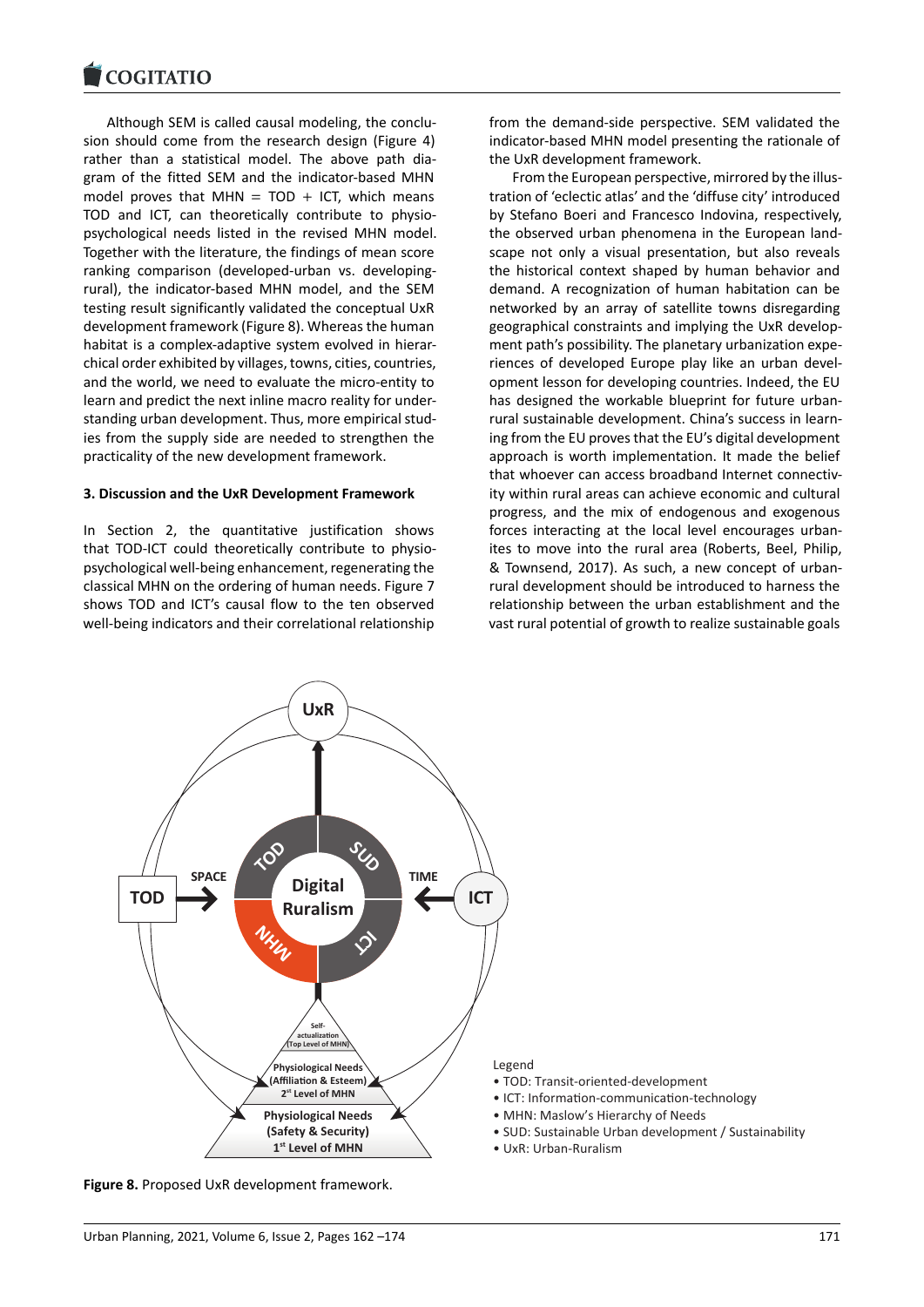Although SEM is called causal modeling, the conclu[sion should come fr](https://www.cogitatiopress.com)om the research design (Figure 4) rather than a statistical model. The above path diagram of the fitted SEM and the indicator-based MHN model proves that MHN =  $TOD + ICT$ , which means TOD and ICT, can theoretically contribute to physiopsychological needs listed in the revised MHN model. Together with the literature, the findings of mean score ranking comparison (developed-urban vs. developingrural), the indicator-based MHN model, and the SEM testing result significantly validated the conceptual UxR development framework (Figure 8). Whereas the human habitat is a complex-adaptive system evolved in hierarchical order exhibited by villages, towns, cities, countries, and the world, we need to evaluate the micro-entity to learn and predict the next inline macro reality for understanding urban development. Thus, more empirical studies from the supply side are needed to strengthen the practicality of the new development framework.

### **3. Discussion and the UxR Development Framework**

In Section 2, the quantitative justification shows that TOD-ICT could theoretically contribute to physiopsychological well-being enhancement, regenerating the classical MHN on the ordering of human needs. Figure 7 shows TOD and ICT's causal flow to the ten observed well-being indicators and their correlational relationship

from the demand-side perspective. SEM validated the indicator-based MHN model presenting the rationale of the UxR development framework.

From the European perspective, mirrored by the illustration of 'eclectic atlas' and the 'diffuse city' introduced by Stefano Boeri and Francesco Indovina, respectively, the observed urban phenomena in the European landscape not only a visual presentation, but also reveals the historical context shaped by human behavior and demand. A recognization of human habitation can be networked by an array of satellite towns disregarding geographical constraints and implying the UxR development path's possibility. The planetary urbanization experiences of developed Europe play like an urban development lesson for developing countries. Indeed, the EU has designed the workable blueprint for future urbanrural sustainable development. China's success in learning from the EU proves that the EU's digital development approach is worth implementation. It made the belief that whoever can access broadband Internet connectivity within rural areas can achieve economic and cultural progress, and the mix of endogenous and exogenous forces interacting at the local level encourages urbanites to move into the rural area (Roberts, Beel, Philip, & Townsend, 2017). As such, a new concept of urbanrural development should be introduced to harness the relationship between the urban establishment and the vast rural potential of growth to realize sustainable goals



**Figure 8.** Proposed UxR development framework.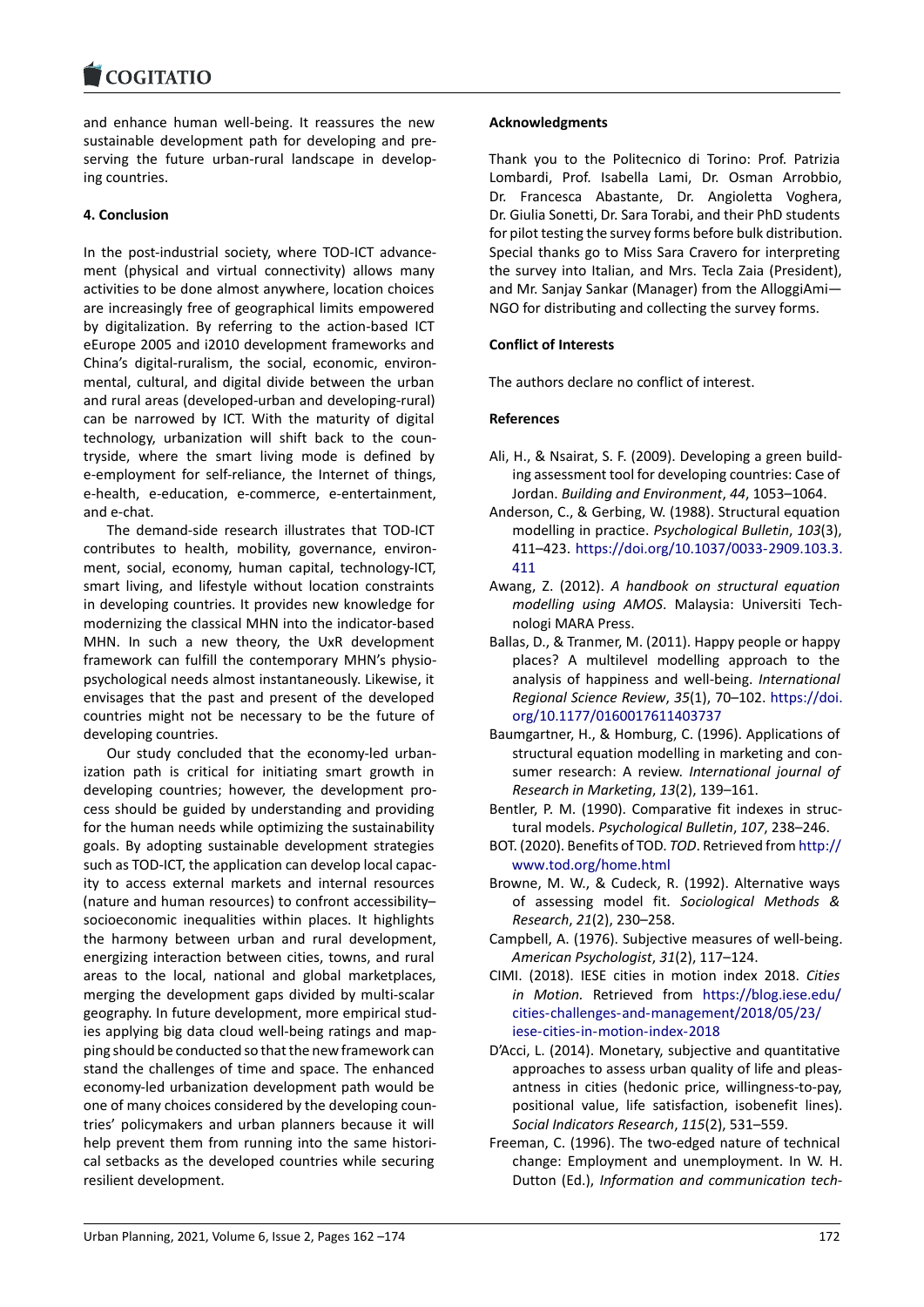#### COGHALIO

and enhance human well-being. It reassures the new [sustainable developm](https://www.cogitatiopress.com)ent path for developing and preserving the future urban-rural landscape in developing countries.

# **4. Conclusion**

In the post-industrial society, where TOD-ICT advancement (physical and virtual connectivity) allows many activities to be done almost anywhere, location choices are increasingly free of geographical limits empowered by digitalization. By referring to the action-based ICT eEurope 2005 and i2010 development frameworks and China's digital-ruralism, the social, economic, environmental, cultural, and digital divide between the urban and rural areas (developed-urban and developing-rural) can be narrowed by ICT. With the maturity of digital technology, urbanization will shift back to the countryside, where the smart living mode is defined by e-employment for self-reliance, the Internet of things, e-health, e-education, e-commerce, e-entertainment, and e-chat.

The demand-side research illustrates that TOD-ICT contributes to health, mobility, governance, environment, social, economy, human capital, technology-ICT, smart living, and lifestyle without location constraints in developing countries. It provides new knowledge for modernizing the classical MHN into the indicator-based MHN. In such a new theory, the UxR development framework can fulfill the contemporary MHN's physiopsychological needs almost instantaneously. Likewise, it envisages that the past and present of the developed countries might not be necessary to be the future of developing countries.

Our study concluded that the economy-led urbanization path is critical for initiating smart growth in developing countries; however, the development process should be guided by understanding and providing for the human needs while optimizing the sustainability goals. By adopting sustainable development strategies such as TOD-ICT, the application can develop local capacity to access external markets and internal resources (nature and human resources) to confront accessibility– socioeconomic inequalities within places. It highlights the harmony between urban and rural development, energizing interaction between cities, towns, and rural areas to the local, national and global marketplaces, merging the development gaps divided by multi-scalar geography. In future development, more empirical studies applying big data cloud well-being ratings and mapping should be conducted so that the new framework can stand the challenges of time and space. The enhanced economy-led urbanization development path would be one of many choices considered by the developing countries' policymakers and urban planners because it will help prevent them from running into the same historical setbacks as the developed countries while securing resilient development.

# **Acknowledgments**

Thank you to the Politecnico di Torino: Prof. Patrizia Lombardi, Prof. Isabella Lami, Dr. Osman Arrobbio, Dr. Francesca Abastante, Dr. Angioletta Voghera, Dr. Giulia Sonetti, Dr. Sara Torabi, and their PhD students for pilot testing the survey forms before bulk distribution. Special thanks go to Miss Sara Cravero for interpreting the survey into Italian, and Mrs. Tecla Zaia (President), and Mr. Sanjay Sankar (Manager) from the AlloggiAmi— NGO for distributing and collecting the survey forms.

# **Conflict of Interests**

The authors declare no conflict of interest.

# **References**

- Ali, H., & Nsairat, S. F. (2009). Developing a green building assessment tool for developing countries: Case of Jordan. *Building and Environment*, *44*, 1053–1064.
- Anderson, C., & Gerbing, W. (1988). Structural equation modelling in practice. *Psychological Bulletin*, *103*(3), 411–423. https://doi.org/10.1037/0033-2909.103.3. 411
- Awang, Z. (2012). *A handbook on structural equation modelling using AMOS*. Malaysia: Universiti Technologi M[ARA Press.](https://doi.org/10.1037/0033-2909.103.3.411)
- Bal[las, D](https://doi.org/10.1037/0033-2909.103.3.411)., & Tranmer, M. (2011). Happy people or happy places? A multilevel modelling approach to the analysis of happiness and well-being. *International Regional Science Review*, *35*(1), 70–102. https://doi. org/10.1177/0160017611403737
- Baumgartner, H., & Homburg, C. (1996). Applications of structural equation modelling in marketing and consumer research: A review. *Internationa[l journal of](https://doi.org/10.1177/0160017611403737) [Research in Marketing](https://doi.org/10.1177/0160017611403737)*, *13*(2), 139–161.
- Bentler, P. M. (1990). Comparative fit indexes in structural models. *Psychological Bulletin*, *107*, 238–246.
- BOT. (2020). Benefits of TOD. *TOD*. Retrieved from http:// www.tod.org/home.html
- Browne, M. W., & Cudeck, R. (1992). Alternative ways of assessing model fit. *Sociological Methods & Research*, *21*(2), 230–258.
- Ca[mpbell, A. \(1976\). Subjecti](http://www.tod.org/home.html)ve measures of wel[l-being.](http://www.tod.org/home.html) *American Psychologist*, *31*(2), 117–124.
- CIMI. (2018). IESE cities in motion index 2018. *Cities in Motion.* Retrieved from https://blog.iese.edu/ cities-challenges-and-management/2018/05/23/ iese-cities-in-motion-index-2018
- D'Acci, L. (2014). Monetary, subjective and quantitative approaches to assess urban q[uality of life and pleas](https://blog.iese.edu/cities-challenges-and-management/2018/05/23/iese-cities-in-motion-index-2018)[antness in cities \(hedonic price, willingness-to-p](https://blog.iese.edu/cities-challenges-and-management/2018/05/23/iese-cities-in-motion-index-2018)ay, [positional value, life satisfaction](https://blog.iese.edu/cities-challenges-and-management/2018/05/23/iese-cities-in-motion-index-2018), isobenefit lines). *Social Indicators Research*, *115*(2), 531–559.
- Freeman, C. (1996). The two-edged nature of technical change: Employment and unemployment. In W. H. Dutton (Ed.), *Information and communication tech-*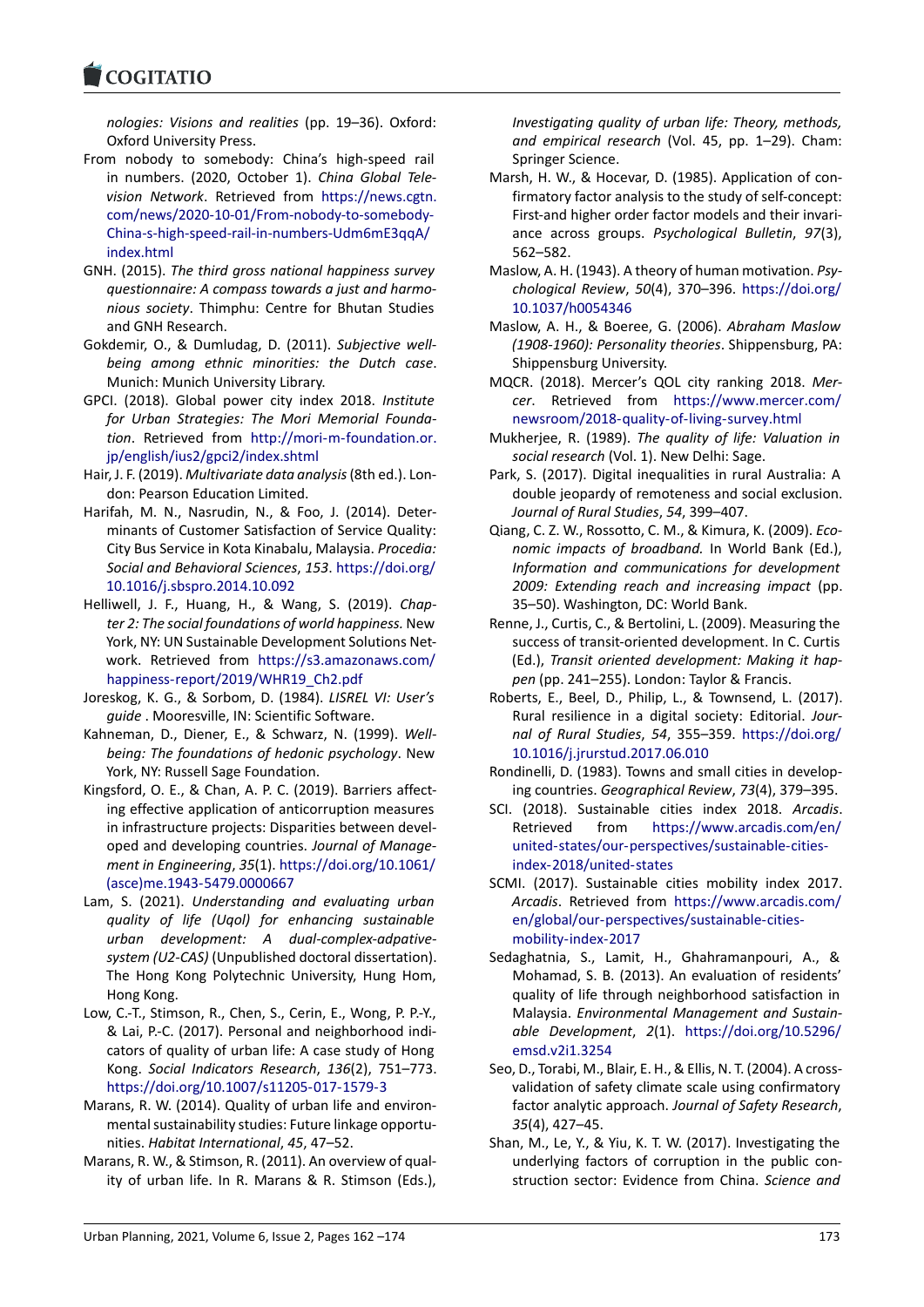#### **LOGITATIO**

*nologies: Visions and realities* (pp. 19–36). Oxford: Oxford University Press.

- [From nobody to so](https://www.cogitatiopress.com)mebody: China's high-speed rail in numbers. (2020, October 1). *China Global Television Network*. Retrieved from https://news.cgtn. com/news/2020-10-01/From-nobody-to-somebody-China-s-high-speed-rail-in-numbers-Udm6mE3qqA/ index.html
- GNH. (2015). *The third gross nationa[l happiness survey](https://news.cgtn.com/news/2020-10-01/From-nobody-to-somebody-China-s-high-speed-rail-in-numbers-Udm6mE3qqA/index.html) [questionnaire: A compass towards a just and harmo](https://news.cgtn.com/news/2020-10-01/From-nobody-to-somebody-China-s-high-speed-rail-in-numbers-Udm6mE3qqA/index.html)nious society*[. Thimphu: Centre for Bhutan Studies](https://news.cgtn.com/news/2020-10-01/From-nobody-to-somebody-China-s-high-speed-rail-in-numbers-Udm6mE3qqA/index.html) [and GNH R](https://news.cgtn.com/news/2020-10-01/From-nobody-to-somebody-China-s-high-speed-rail-in-numbers-Udm6mE3qqA/index.html)esearch.
- Gokdemir, O., & Dumludag, D. (2011). *Subjective wellbeing among ethnic minorities: the Dutch case*. Munich: Munich University Library.
- GPCI. (2018). Global power city index 2018. *Institute for Urban Strategies: The Mori Memorial Foundation*. Retrieved from http://mori-m-foundation.or. jp/english/ius2/gpci2/index.shtml
- Hair, J. F. (2019). *Multivariate data analysis*(8th ed.). London: Pearson Education Limited.
- Harifah, M. N., Nasrudin, [N., & Foo, J. \(2014\). Deter](http://mori-m-foundation.or.jp/english/ius2/gpci2/index.shtml)[minants of Customer Satisfaction](http://mori-m-foundation.or.jp/english/ius2/gpci2/index.shtml) of Service Quality: City Bus Service in Kota Kinabalu, Malaysia. *Procedia: Social and Behavioral Sciences*, *153*. https://doi.org/ 10.1016/j.sbspro.2014.10.092
- Helliwell, J. F., Huang, H., & Wang, S. (2019). *Chapter 2: The social foundations of world happiness.* New York, NY: UN Sustainable Developme[nt Solutions Net](https://doi.org/10.1016/j.sbspro.2014.10.092)[work. Retrieved from](https://doi.org/10.1016/j.sbspro.2014.10.092) https://s3.amazonaws.com/ happiness-report/2019/WHR19\_Ch2.pdf
- Joreskog, K. G., & Sorbom, D. (1984). *LISREL VI: User's guide* . Mooresville, IN: Scientific Software.
- Kahneman, D., Diener, E., [& Schwarz, N. \(1999\).](https://s3.amazonaws.com/happiness-report/2019/WHR19_Ch2.pdf) *Well[being: The foundations of hedonic psych](https://s3.amazonaws.com/happiness-report/2019/WHR19_Ch2.pdf)ology*. New York, NY: Russell Sage Foundation.
- Kingsford, O. E., & Chan, A. P. C. (2019). Barriers affecting effective application of anticorruption measures in infrastructure projects: Disparities between developed and developing countries. *Journal of Management in Engineering*, *35*(1). https://doi.org/10.1061/ (asce)me.1943-5479.0000667
- Lam, S. (2021). *Understanding and evaluating urban quality of life (Uqol) for enhancing sustainable urban development: A [dual-complex-adpative](https://doi.org/10.1061/(asce)me.1943-5479.0000667)[system \(U2-CAS\)](https://doi.org/10.1061/(asce)me.1943-5479.0000667)* (Unpublished doctoral dissertation). The Hong Kong Polytechnic University, Hung Hom, Hong Kong.
- Low, C.-T., Stimson, R., Chen, S., Cerin, E., Wong, P. P.-Y., & Lai, P.-C. (2017). Personal and neighborhood indicators of quality of urban life: A case study of Hong Kong. *Social Indicators Research*, *136*(2), 751–773. https://doi.org/10.1007/s11205-017-1579-3
- Marans, R. W. (2014). Quality of urban life and environmental sustainability studies: Future linkage opportunities. *Habitat International*, *45*, 47–52.
- Ma[rans, R. W., & Stimson, R. \(2011\). An overview](https://doi.org/10.1007/s11205-017-1579-3) of quality of urban life. In R. Marans & R. Stimson (Eds.),

*Investigating quality of urban life: Theory, methods, and empirical research* (Vol. 45, pp. 1–29). Cham: Springer Science.

- Marsh, H. W., & Hocevar, D. (1985). Application of confirmatory factor analysis to the study of self-concept: First-and higher order factor models and their invariance across groups. *Psychological Bulletin*, *97*(3), 562–582.
- Maslow, A. H. (1943). A theory of human motivation. *Psychological Review*, *50*(4), 370–396. https://doi.org/ 10.1037/h0054346
- Maslow, A. H., & Boeree, G. (2006). *Abraham Maslow (1908-1960): Personality theories*. Shippensburg, PA: Shippensburg University.
- M[QCR. \(2018\). Merce](https://doi.org/10.1037/h0054346)r's QOL city ran[king 2018.](https://doi.org/10.1037/h0054346) *Mercer*. Retrieved from https://www.mercer.com/ newsroom/2018-quality-of-living-survey.html
- Mukherjee, R. (1989). *The quality of life: Valuation in social research* (Vol. 1). New Delhi: Sage.
- Park, S. (2017). Digital inequ[alities in rural Australia: A](https://www.mercer.com/newsroom/2018-quality-of-living-survey.html) [double jeopardy of remoteness and social excl](https://www.mercer.com/newsroom/2018-quality-of-living-survey.html)usion. *Journal of Rural Studies*, *54*, 399–407.
- Qiang, C. Z. W., Rossotto, C. M., & Kimura, K. (2009). *Economic impacts of broadband.* In World Bank (Ed.), *Information and communications for development 2009: Extending reach and increasing impact* (pp. 35–50). Washington, DC: World Bank.
- Renne, J., Curtis, C., & Bertolini, L. (2009). Measuring the success of transit-oriented development. In C. Curtis (Ed.), *Transit oriented development: Making it happen* (pp. 241–255). London: Taylor & Francis.
- Roberts, E., Beel, D., Philip, L., & Townsend, L. (2017). Rural resilience in a digital society: Editorial. *Journal of Rural Studies*, *54*, 355–359. https://doi.org/ 10.1016/j.jrurstud.2017.06.010
- Rondinelli, D. (1983). Towns and small cities in developing countries. *Geographical Review*, *73*(4), 379–395.
- SCI. (2018). Sustainable cities index 2018. *[Arcadis](https://doi.org/10.1016/j.jrurstud.2017.06.010)*. [Retrieved from](https://doi.org/10.1016/j.jrurstud.2017.06.010) https://www.arcadis.com/en/ united-states/our-perspectives/sustainable-citiesindex-2018/united-states
- SCMI. (2017). Sustainable cities mobility index 2017. *Arcadis*. Retrieved from [https://www.arcadis.com/](https://www.arcadis.com/en/united-states/our-perspectives/sustainable-cities-index-2018/united-states) [en/global/our-perspectives/sustainable-cities](https://www.arcadis.com/en/united-states/our-perspectives/sustainable-cities-index-2018/united-states)[mobility-index-2017](https://www.arcadis.com/en/united-states/our-perspectives/sustainable-cities-index-2018/united-states)
- Sedaghatnia, S., Lamit, H., Ghahramanpouri, A., & Mohamad, S. B. (2013). [An evaluation of residents'](https://www.arcadis.com/en/global/our-perspectives/sustainable-cities-mobility-index-2017) [quality of life through neighborhood satisfacti](https://www.arcadis.com/en/global/our-perspectives/sustainable-cities-mobility-index-2017)on in Malaysia. *[Environme](https://www.arcadis.com/en/global/our-perspectives/sustainable-cities-mobility-index-2017)ntal Management and Sustainable Development*, *2*(1). https://doi.org/10.5296/ emsd.v2i1.3254
- Seo, D., Torabi, M., Blair, E. H., & Ellis, N. T. (2004). A crossvalidation of safety climate scale using confirmatory factor analytic approach. *Jo[urnal of Safety Research](https://doi.org/10.5296/emsd.v2i1.3254)*, *35*[\(4\), 427–45.](https://doi.org/10.5296/emsd.v2i1.3254)
- Shan, M., Le, Y., & Yiu, K. T. W. (2017). Investigating the underlying factors of corruption in the public construction sector: Evidence from China. *Science and*